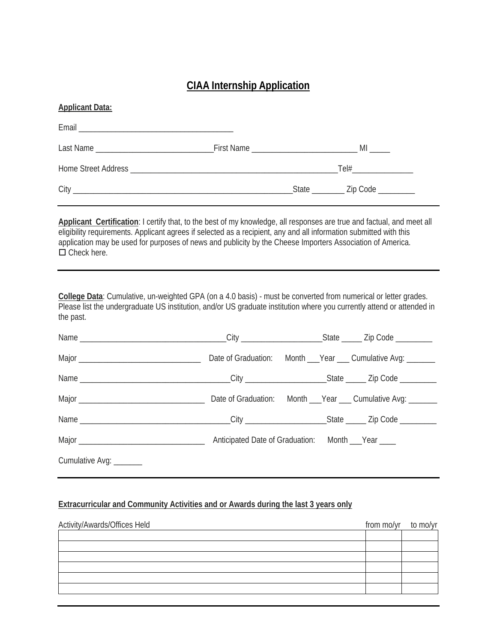## **CIAA Internship Application**

**Applicant Data:** 

| $1.19$ particles in the parties. |                              |  |  |  |
|----------------------------------|------------------------------|--|--|--|
|                                  |                              |  |  |  |
|                                  | MILLER                       |  |  |  |
|                                  |                              |  |  |  |
|                                  | State <u>Caller Zip</u> Code |  |  |  |

**Applicant Certification**: I certify that, to the best of my knowledge, all responses are true and factual, and meet all eligibility requirements. Applicant agrees if selected as a recipient, any and all information submitted with this application may be used for purposes of news and publicity by the Cheese Importers Association of America.  $\Box$  Check here.

**College Data**: Cumulative, un-weighted GPA (on a 4.0 basis) - must be converted from numerical or letter grades. Please list the undergraduate US institution, and/or US graduate institution where you currently attend or attended in the past.

|                         |                                                     |  | Date of Graduation: Month ___ Year ___ Cumulative Avg: ______  |
|-------------------------|-----------------------------------------------------|--|----------------------------------------------------------------|
|                         |                                                     |  |                                                                |
|                         |                                                     |  | Date of Graduation: Month ___ Year ___ Cumulative Avg: _______ |
|                         |                                                     |  |                                                                |
|                         | Anticipated Date of Graduation: Month ___ Year ____ |  |                                                                |
| Cumulative Avg: _______ |                                                     |  |                                                                |

## **Extracurricular and Community Activities and or Awards during the last 3 years only**

| Activity/Awards/Offices Held | from mo/yr to mo/yr |  |
|------------------------------|---------------------|--|
|                              |                     |  |
|                              |                     |  |
|                              |                     |  |
|                              |                     |  |
|                              |                     |  |
|                              |                     |  |